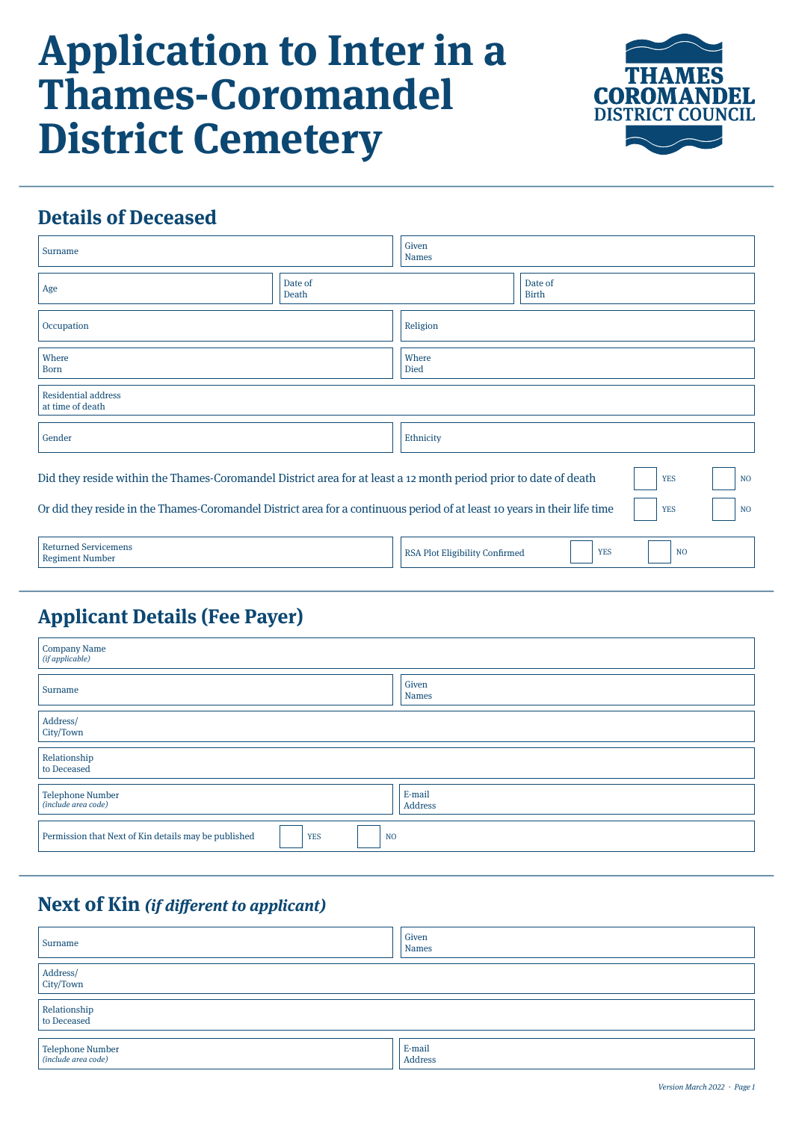# **Application to Inter in a Thames-Coromandel District Cemetery**



# **Details of Deceased**

| Surname                                                                                                                        |                  | Given<br><b>Names</b>                                          |                              |  |
|--------------------------------------------------------------------------------------------------------------------------------|------------------|----------------------------------------------------------------|------------------------------|--|
| Age                                                                                                                            | Date of<br>Death |                                                                | Date of<br><b>Birth</b>      |  |
| Occupation                                                                                                                     |                  | Religion                                                       |                              |  |
| Where<br><b>Born</b>                                                                                                           |                  | Where<br>Died                                                  |                              |  |
| <b>Residential address</b><br>at time of death                                                                                 |                  |                                                                |                              |  |
| Gender                                                                                                                         |                  | Ethnicity                                                      |                              |  |
| Did they reside within the Thames-Coromandel District area for at least a 12 month period prior to date of death<br><b>YES</b> |                  |                                                                |                              |  |
| Or did they reside in the Thames-Coromandel District area for a continuous period of at least 10 years in their life time      |                  |                                                                | <b>YES</b><br>N <sub>O</sub> |  |
| <b>Returned Servicemens</b><br><b>Regiment Number</b>                                                                          |                  | N <sub>O</sub><br>RSA Plot Eligibility Confirmed<br><b>YES</b> |                              |  |

## **Applicant Details (Fee Payer)**

| <b>Company Name</b><br>(if applicable)                                               |                       |  |  |  |
|--------------------------------------------------------------------------------------|-----------------------|--|--|--|
| Surname                                                                              | Given<br><b>Names</b> |  |  |  |
| Address/<br>City/Town                                                                |                       |  |  |  |
| Relationship<br>to Deceased                                                          |                       |  |  |  |
| <b>Telephone Number</b><br>(include area code)                                       | E-mail<br>Address     |  |  |  |
| Permission that Next of Kin details may be published<br><b>YES</b><br>N <sub>O</sub> |                       |  |  |  |

## **Next of Kin (if different to applicant)**

| Surname                                 | Given<br><b>Names</b> |
|-----------------------------------------|-----------------------|
| Address/<br>City/Town                   |                       |
| Relationship<br>to Deceased             |                       |
| Telephone Number<br>(include area code) | E-mail<br>Address     |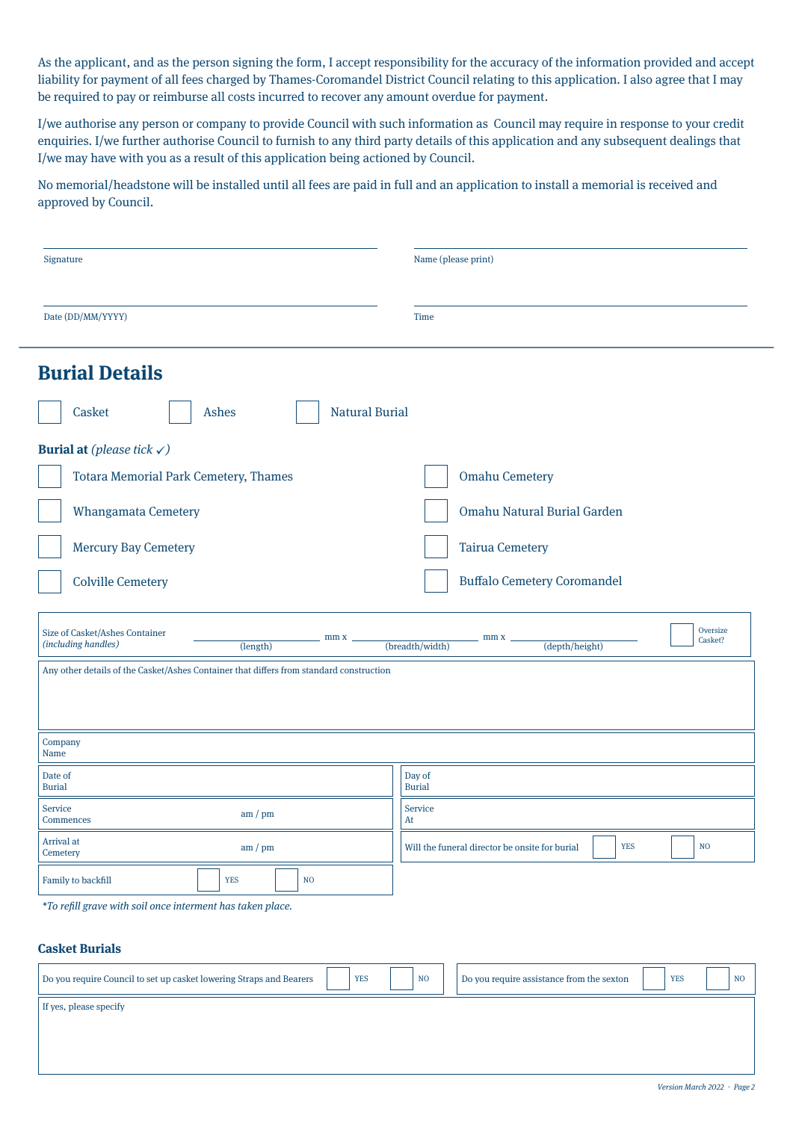As the applicant, and as the person signing the form, I accept responsibility for the accuracy of the information provided and accept liability for payment of all fees charged by Thames-Coromandel District Council relating to this application. I also agree that I may be required to pay or reimburse all costs incurred to recover any amount overdue for payment.

I/we authorise any person or company to provide Council with such information as Council may require in response to your credit enquiries. I/we further authorise Council to furnish to any third party details of this application and any subsequent dealings that I/we may have with you as a result of this application being actioned by Council.

No memorial/headstone will be installed until all fees are paid in full and an application to install a memorial is received and approved by Council.

| Signature                                                                               | Name (please print)                                                            |  |  |  |  |
|-----------------------------------------------------------------------------------------|--------------------------------------------------------------------------------|--|--|--|--|
| Date (DD/MM/YYYY)                                                                       | Time                                                                           |  |  |  |  |
| <b>Burial Details</b>                                                                   |                                                                                |  |  |  |  |
| <b>Natural Burial</b><br>Casket<br><b>Ashes</b>                                         |                                                                                |  |  |  |  |
| <b>Burial at</b> (please tick $\checkmark$ )                                            |                                                                                |  |  |  |  |
| <b>Totara Memorial Park Cemetery, Thames</b>                                            | <b>Omahu Cemetery</b>                                                          |  |  |  |  |
| <b>Whangamata Cemetery</b>                                                              | <b>Omahu Natural Burial Garden</b>                                             |  |  |  |  |
| <b>Mercury Bay Cemetery</b>                                                             | <b>Tairua Cemetery</b>                                                         |  |  |  |  |
| <b>Colville Cemetery</b>                                                                | <b>Buffalo Cemetery Coromandel</b>                                             |  |  |  |  |
| Size of Casket/Ashes Container<br>mm x<br>(including handles)<br>(length)               | Oversize<br>mm x<br>Casket?<br>(depth/height)<br>(breadth/width)               |  |  |  |  |
| Any other details of the Casket/Ashes Container that differs from standard construction |                                                                                |  |  |  |  |
|                                                                                         |                                                                                |  |  |  |  |
| Company<br>Name                                                                         |                                                                                |  |  |  |  |
| Date of<br><b>Burial</b>                                                                | Day of<br><b>Burial</b>                                                        |  |  |  |  |
| <b>Service</b><br>am / pm<br>Commences                                                  | <b>Service</b><br>At                                                           |  |  |  |  |
| <b>Arrival</b> at<br>am / pm<br>Cemetery                                                | <b>YES</b><br>N <sub>O</sub><br>Will the funeral director be onsite for burial |  |  |  |  |
| Family to backfill<br><b>YES</b><br>N <sub>O</sub>                                      |                                                                                |  |  |  |  |
| *To refill grave with soil once interment has taken place.                              |                                                                                |  |  |  |  |

#### **Casket Burials**

| Do you require Council to set up casket lowering Straps and Bearers | <b>YES</b> | N <sub>O</sub> | Do you require assistance from the sexton | <b>YES</b> | N <sub>O</sub> |
|---------------------------------------------------------------------|------------|----------------|-------------------------------------------|------------|----------------|
| If yes, please specify                                              |            |                |                                           |            |                |
|                                                                     |            |                |                                           |            |                |
|                                                                     |            |                |                                           |            |                |
|                                                                     |            |                |                                           |            |                |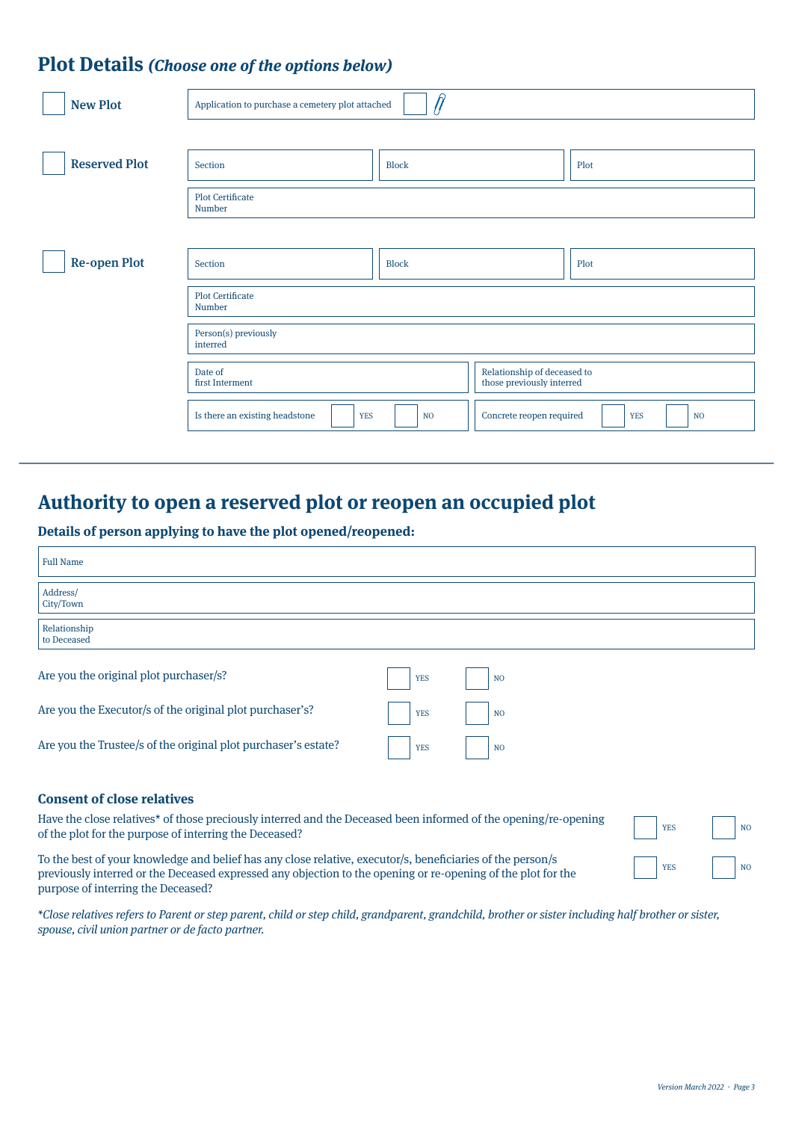### **Plot Details (Choose one of the options below)**

| <b>New Plot</b>      | Application to purchase a cemetery plot attached |                |                                                          |                         |
|----------------------|--------------------------------------------------|----------------|----------------------------------------------------------|-------------------------|
|                      |                                                  |                |                                                          |                         |
| <b>Reserved Plot</b> | Section                                          | <b>Block</b>   |                                                          | Plot                    |
|                      | <b>Plot Certificate</b><br>Number                |                |                                                          |                         |
|                      |                                                  |                |                                                          |                         |
| <b>Re-open Plot</b>  | Section                                          | <b>Block</b>   |                                                          | Plot                    |
|                      | <b>Plot Certificate</b><br>Number                |                |                                                          |                         |
|                      | Person(s) previously<br>interred                 |                |                                                          |                         |
|                      | Date of<br>first Interment                       |                | Relationship of deceased to<br>those previously interred |                         |
|                      | Is there an existing headstone<br><b>YES</b>     | N <sub>O</sub> | Concrete reopen required                                 | <b>YES</b><br><b>NO</b> |
|                      |                                                  |                |                                                          |                         |

## **Authority to open a reserved plot or reopen an occupied plot**

**Details of person applying to have the plot opened/reopened:**

| <b>Full Name</b>                                                                                                                                                                                                                                                 |            |                |            |                |
|------------------------------------------------------------------------------------------------------------------------------------------------------------------------------------------------------------------------------------------------------------------|------------|----------------|------------|----------------|
| Address/<br>City/Town                                                                                                                                                                                                                                            |            |                |            |                |
| Relationship<br>to Deceased                                                                                                                                                                                                                                      |            |                |            |                |
| Are you the original plot purchaser/s?                                                                                                                                                                                                                           | <b>YES</b> | N <sub>O</sub> |            |                |
| Are you the Executor/s of the original plot purchaser's?                                                                                                                                                                                                         | <b>YES</b> | N <sub>O</sub> |            |                |
| Are you the Trustee/s of the original plot purchaser's estate?                                                                                                                                                                                                   | <b>YES</b> | N <sub>O</sub> |            |                |
| <b>Consent of close relatives</b>                                                                                                                                                                                                                                |            |                |            |                |
| Have the close relatives <sup>*</sup> of those preciously interred and the Deceased been informed of the opening/re-opening<br>of the plot for the purpose of interring the Deceased?                                                                            |            |                | <b>YES</b> | N <sub>O</sub> |
| To the best of your knowledge and belief has any close relative, executor/s, beneficiaries of the person/s<br>previously interred or the Deceased expressed any objection to the opening or re-opening of the plot for the<br>purpose of interring the Deceased? |            |                |            | N <sub>O</sub> |

\*Close relatives refers to Parent or step parent, child or step child, grandparent, grandchild, brother or sister including half brother or sister, spouse, civil union partner or de facto partner.